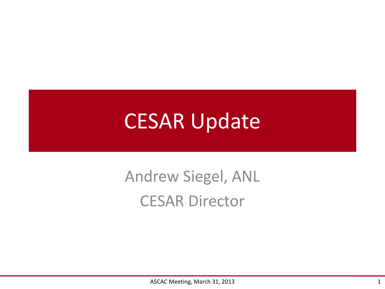## CESAR Update

## Andrew Siegel, ANL CESAR Director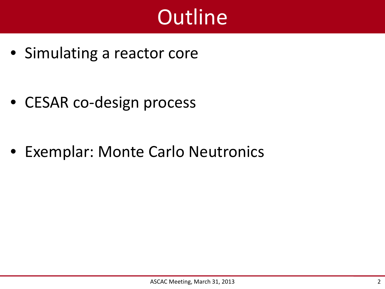## **Outline**

• Simulating a reactor core

• CESAR co-design process

• Exemplar: Monte Carlo Neutronics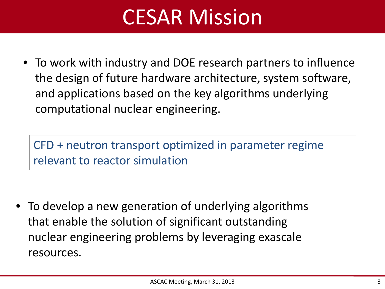## CESAR Mission

• To work with industry and DOE research partners to influence the design of future hardware architecture, system software, and applications based on the key algorithms underlying computational nuclear engineering.

CFD + neutron transport optimized in parameter regime relevant to reactor simulation

• To develop a new generation of underlying algorithms that enable the solution of significant outstanding nuclear engineering problems by leveraging exascale resources.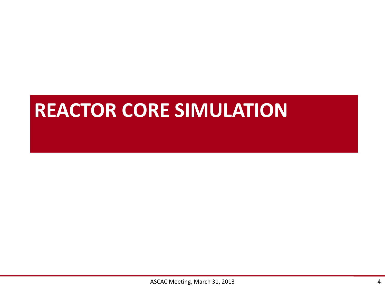## **REACTOR CORE SIMULATION**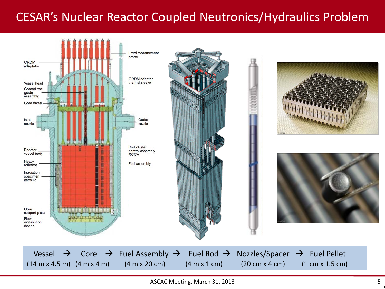#### CESAR's Nuclear Reactor Coupled Neutronics/Hydraulics Problem



5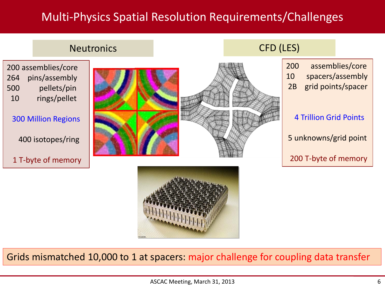#### Multi-Physics Spatial Resolution Requirements/Challenges



Grids mismatched 10,000 to 1 at spacers: major challenge for coupling data transfer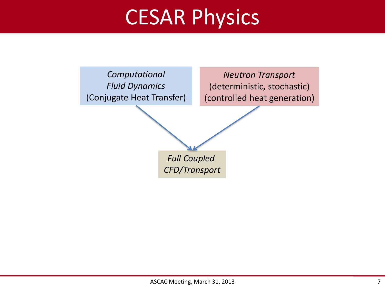## CESAR Physics

*Computational Fluid Dynamics* (Conjugate Heat Transfer)

*Neutron Transport* (deterministic, stochastic) (controlled heat generation)

*Full Coupled CFD/Transport*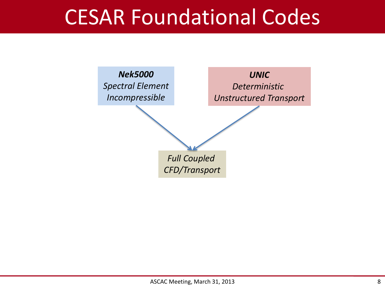## CESAR Foundational Codes

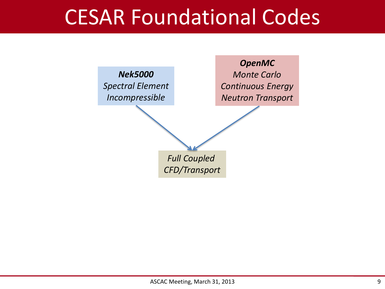## CESAR Foundational Codes

*Nek5000 Spectral Element Incompressible*

*OpenMC Monte Carlo Continuous Energy Neutron Transport*

*Full Coupled CFD/Transport*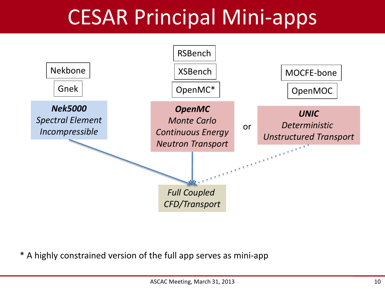## CESAR Principal Mini-apps



\* A highly constrained version of the full app serves as mini-app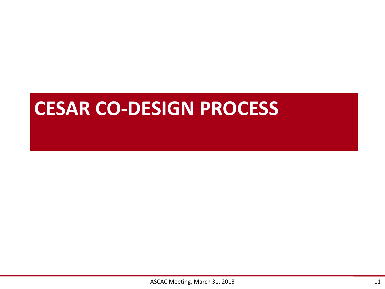### **CESAR CO-DESIGN PROCESS**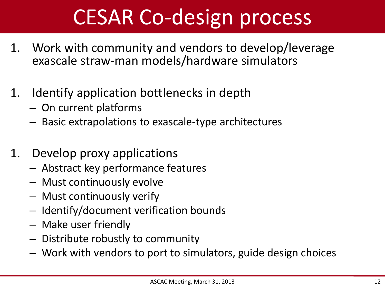## CESAR Co-design process

- 1. Work with community and vendors to develop/leverage exascale straw-man models/hardware simulators
- 1. Identify application bottlenecks in depth
	- On current platforms
	- Basic extrapolations to exascale-type architectures
- 1. Develop proxy applications
	- Abstract key performance features
	- Must continuously evolve
	- Must continuously verify
	- Identify/document verification bounds
	- Make user friendly
	- Distribute robustly to community
	- Work with vendors to port to simulators, guide design choices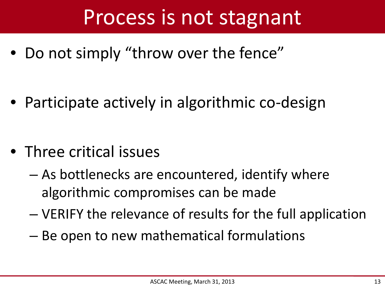## Process is not stagnant

• Do not simply "throw over the fence"

• Participate actively in algorithmic co-design

- Three critical issues
	- As bottlenecks are encountered, identify where algorithmic compromises can be made
	- VERIFY the relevance of results for the full application
	- Be open to new mathematical formulations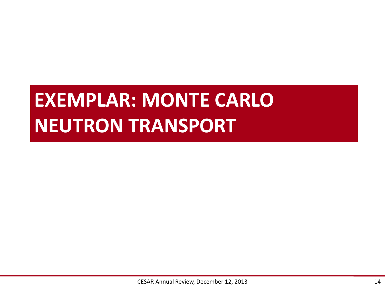## **EXEMPLAR: MONTE CARLO NEUTRON TRANSPORT**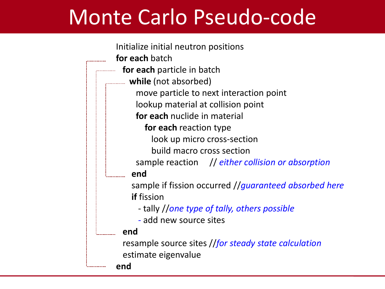## Monte Carlo Pseudo-code

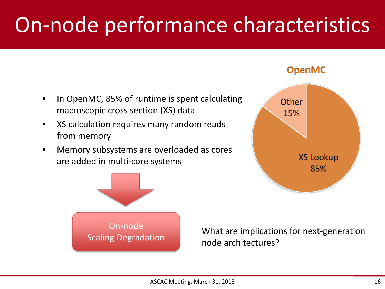## On-node performance characteristics

- In OpenMC, 85% of runtime is spent calculating macroscopic cross section (XS) data
- XS calculation requires many random reads from memory
- Memory subsystems are overloaded as cores are added in multi-core systems



**OpenMC** 



What are implications for next-generation node architectures?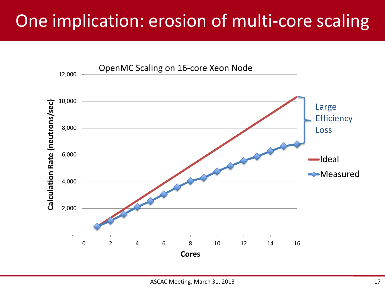### One implication: erosion of multi-core scaling

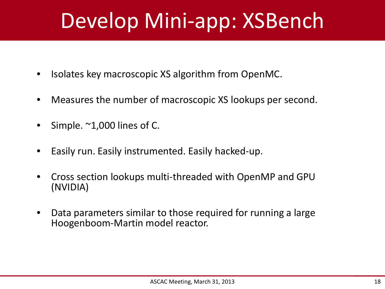## Develop Mini-app: XSBench

- Isolates key macroscopic XS algorithm from OpenMC.
- Measures the number of macroscopic XS lookups per second.
- Simple.  $\sim$ 1,000 lines of C.
- Easily run. Easily instrumented. Easily hacked-up.
- Cross section lookups multi-threaded with OpenMP and GPU (NVIDIA)
- Data parameters similar to those required for running a large Hoogenboom-Martin model reactor.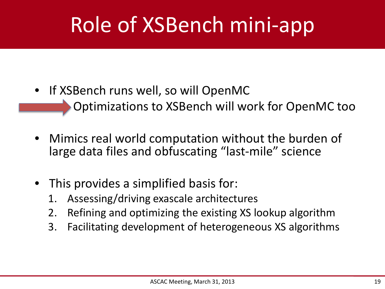# Role of XSBench mini-app

- If XSBench runs well, so will OpenMC • Optimizations to XSBench will work for OpenMC too
- Mimics real world computation without the burden of large data files and obfuscating "last-mile" science
- This provides a simplified basis for:
	- 1. Assessing/driving exascale architectures
	- 2. Refining and optimizing the existing XS lookup algorithm
	- 3. Facilitating development of heterogeneous XS algorithms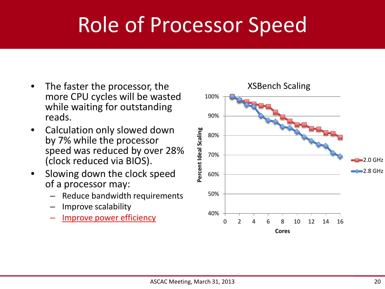## Role of Processor Speed

- The faster the processor, the more CPU cycles will be wasted while waiting for outstanding reads.
- Calculation only slowed down by 7% while the processor speed was reduced by over 28% (clock reduced via BIOS).
- Slowing down the clock speed of a processor may:
	- Reduce bandwidth requirements
	- Improve scalability
	- Improve power efficiency 40%

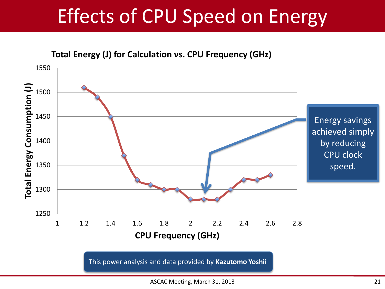## Effects of CPU Speed on Energy

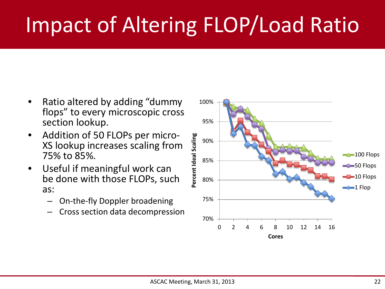# Impact of Altering FLOP/Load Ratio

- Ratio altered by adding "dummy flops" to every microscopic cross section lookup.
- Addition of 50 FLOPs per micro- XS lookup increases scaling from 75% to 85%.
- Useful if meaningful work can be done with those FLOPs, such as:
	- On-the-fly Doppler broadening
	- Cross section data decompression

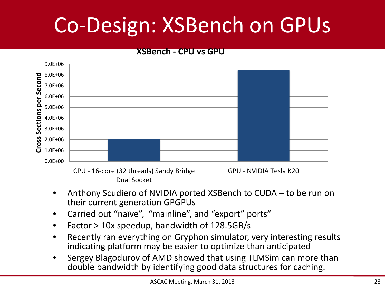# Co-Design: XSBench on GPUs

#### **XSBench - CPU vs GPU**



- Anthony Scudiero of NVIDIA ported XSBench to CUDA to be run on their current generation GPGPUs
- Carried out "naïve", "mainline", and "export" ports"
- Factor > 10x speedup, bandwidth of 128.5GB/s
- Recently ran everything on Gryphon simulator, very interesting results indicating platform may be easier to optimize than anticipated
- Sergey Blagodurov of AMD showed that using TLMSim can more than double bandwidth by identifying good data structures for caching.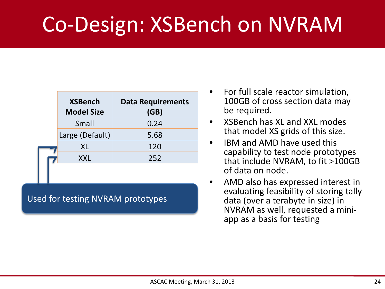## Co-Design: XSBench on NVRAM

| <b>XSBench</b><br><b>Model Size</b> | <b>Data Requirements</b><br>(GB) |
|-------------------------------------|----------------------------------|
| Small                               | 0.24                             |
| Large (Default)                     | 5.68                             |
| XL                                  | 120                              |
| XXL                                 | 252                              |
|                                     |                                  |

#### Used for testing NVRAM prototypes

- For full scale reactor simulation, 100GB of cross section data may be required.
- XSBench has XL and XXL modes that model XS grids of this size.
- IBM and AMD have used this capability to test node prototypes that include NVRAM, to fit >100GB of data on node.
- AMD also has expressed interest in evaluating feasibility of storing tally data (over a terabyte in size) in NVRAM as well, requested a mini- app as a basis for testing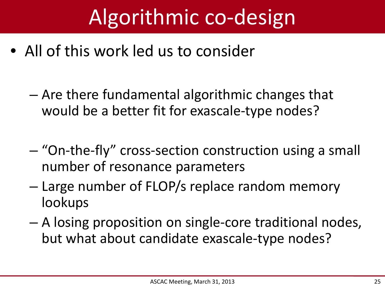## Algorithmic co-design

- All of this work led us to consider
	- Are there fundamental algorithmic changes that would be a better fit for exascale-type nodes?
	- "On-the-fly" cross-section construction using a small number of resonance parameters
	- Large number of FLOP/s replace random memory lookups
	- A losing proposition on single-core traditional nodes, but what about candidate exascale-type nodes?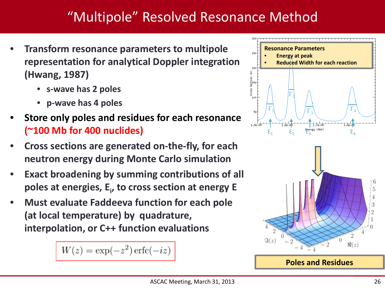#### "Multipole" Resolved Resonance Method

- **Transform resonance parameters to multipole representation for analytical Doppler integration (Hwang, 1987)**
	- **s-wave has 2 poles**
	- **p-wave has 4 poles**
- **Store only poles and residues for each resonance (~100 Mb for 400 nuclides)**
- **Cross sections are generated on-the-fly, for each neutron energy during Monte Carlo simulation**
- **Exact broadening by summing contributions of all poles at energies, Ei , to cross section at energy E**
- **Must evaluate Faddeeva function for each pole (at local temperature) by quadrature, interpolation, or C++ function evaluations**

 $W(z) = \exp(-z^2) \operatorname{erfc}(-iz)$ 



**Poles and Residues**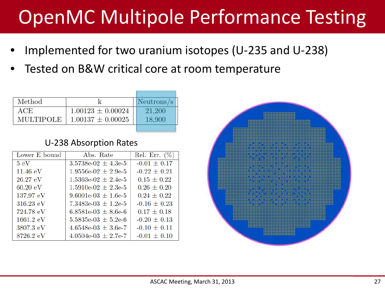## OpenMC Multipole Performance Testing

- Implemented for two uranium isotopes (U-235 and U-238)
- Tested on B&W critical core at room temperature

| Method           |                       | Neutrons/s |
|------------------|-----------------------|------------|
| ACE              | $1.00123 \pm 0.00024$ | 21,200     |
| <b>MULTIPOLE</b> | $1.00137 \pm 0.00025$ | 18.900     |
|                  |                       |            |

#### U-238 Absorption Rates

| Lower E bound       | Abs. Rate                                   | Rel. Err. (%)    |
|---------------------|---------------------------------------------|------------------|
| $5\;\mathrm{eV}$    | $3.5738 \text{e} - 02 \pm 4.3 \text{e} - 5$ | $-0.01 \pm 0.17$ |
| $11.46 \text{ eV}$  | $1.9556e-02 \pm 2.9e-5$                     | $-0.22 \pm 0.21$ |
| $26.27$ eV          | $1.5363e-02 \pm 2.4e-5$                     | $0.15 \pm 0.22$  |
| $60.20 \text{ eV}$  | $1.5910e-02 \pm 2.3e-5$                     | $0.26 \pm 0.20$  |
| $137.97 \text{ eV}$ | $9.6001e-03 \pm 1.6e-5$                     | $0.24 \pm 0.22$  |
| $316.23 \text{ eV}$ | 7.3483e-03 $\pm$ 1.2e-5                     | $-0.16 \pm 0.23$ |
| 724.78 eV           | $6.8581e-03 \pm 8.6e-6$                     | $0.17 \pm 0.18$  |
| $1661.2 \text{ eV}$ | $5.5835e-03 \pm 5.2e-6$                     | $-0.20 \pm 0.13$ |
| 3807.3 eV           | $4.6548 \text{e-}03 \pm 3.6 \text{e-}7$     | $-0.10 \pm 0.11$ |
| 8726.2 eV           | $4.0504e-03 \pm 2.7e-7$                     | $-0.01 \pm 0.10$ |